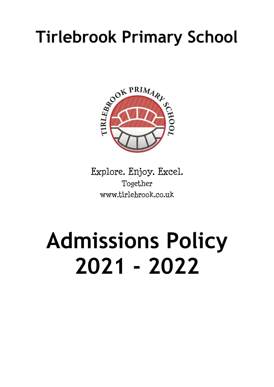# **Tirlebrook Primary School**



Explore. Enjoy. Excel. Together www.tirlebrook.co.uk

# **Admissions Policy 2021 - 2022**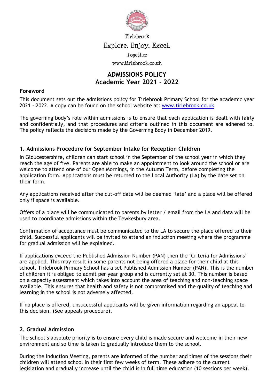

Tirlebrook

#### Explore. Enjoy. Excel.

Together

www.tirlebrook.co.uk

## **ADMISSIONS POLICY Academic Year 2021 - 2022**

#### **Foreword**

This document sets out the admissions policy for Tirlebrook Primary School for the academic year 2021 - 2022. A copy can be found on the school website at: [www.tirlebrook.co.uk](http://www.tirlebrook.co.uk/)

The governing body's role within admissions is to ensure that each application is dealt with fairly and confidentially, and that procedures and criteria outlined in this document are adhered to. The policy reflects the decisions made by the Governing Body in December 2019.

#### **1. Admissions Procedure for September Intake for Reception Children**

In Gloucestershire, children can start school in the September of the school year in which they reach the age of five. Parents are able to make an appointment to look around the school or are welcome to attend one of our Open Mornings, in the Autumn Term, before completing the application form. Applications must be returned to the Local Authority (LA) by the date set on their form.

Any applications received after the cut-off date will be deemed 'late' and a place will be offered only if space is available.

Offers of a place will be communicated to parents by letter / email from the LA and data will be used to coordinate admissions within the Tewkesbury area.

Confirmation of acceptance must be communicated to the LA to secure the place offered to their child. Successful applicants will be invited to attend an induction meeting where the programme for gradual admission will be explained.

If applications exceed the Published Admission Number (PAN) then the 'Criteria for Admissions' are applied. This may result in some parents not being offered a place for their child at this school. Tirlebrook Primary School has a set Published Admission Number (PAN). This is the number of children it is obliged to admit per year group and is currently set at 30. This number is based on a capacity assessment which takes into account the area of teaching and non-teaching space available. This ensures that health and safety is not compromised and the quality of teaching and learning in the school is not adversely affected.

If no place is offered, unsuccessful applicants will be given information regarding an appeal to this decision. (See appeals procedure).

#### **2. Gradual Admission**

The school's absolute priority is to ensure every child is made secure and welcome in their new environment and so time is taken to gradually introduce them to the school.

During the Induction Meeting, parents are informed of the number and times of the sessions their children will attend school in their first few weeks of term. These adhere to the current legislation and gradually increase until the child is in full time education (10 sessions per week).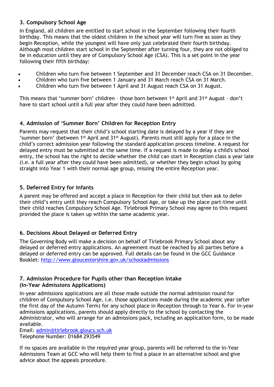#### **3. Compulsory School Age**

In England, all children are entitled to start school in the September following their fourth birthday. This means that the oldest children in the school year will turn five as soon as they begin Reception, while the youngest will have only just celebrated their fourth birthday. Although most children start school in the September after turning four, they are not obliged to be in education until they are of Compulsory School Age (CSA). This is a set point in the year following their fifth birthday:

- Children who turn five between 1 September and 31 December reach CSA on 31 December.
- Children who turn five between 1 January and 31 March reach CSA on 31 March.
- Children who turn five between 1 April and 31 August reach CSA on 31 August.

This means that 'summer born' children – those born between 1st April and 31st August – don't have to start school until a full year after they could have been admitted.

#### **4. Admission of 'Summer Born' Children for Reception Entry**

Parents may request that their child's school starting date is delayed by a year if they are 'summer born' (between 1st April and 31st August). Parents must still apply for a place in the child's correct admission year following the standard application process timeline. A request for delayed entry must be submitted at the same time. If a request is made to delay a child's school entry, the school has the right to decide whether the child can start in Reception class a year late (i.e. a full year after they could have been admitted), or whether they begin school by going straight into Year 1 with their normal age group, missing the entire Reception year.

#### **5. Deferred Entry for Infants**

A parent may be offered and accept a place in Reception for their child but then ask to defer their child's entry until they reach Compulsory School Age, or take up the place part-time until their child reaches Compulsory School Age. Tirlebrook Primary School may agree to this request provided the place is taken up within the same academic year.

#### **6. Decisions About Delayed or Deferred Entry**

The Governing Body will make a decision on behalf of Tirlebrook Primary School about any delayed or deferred entry applications. An agreement must be reached by all parties before a delayed or deferred entry can be approved. Full details can be found in the GCC Guidance Booklet:<http://www.gloucestershire.gov.uk/schooladmissions>

### **7. Admission Procedure for Pupils other than Reception Intake**

#### **(In-Year Admissions Applications)**

In-year admissions applications are all those made outside the normal admission round for children of Compulsory School Age, i.e. those applications made during the academic year (after the first day of the Autumn Term) for any school place in Reception through to Year 6. For in-year admissions applications, parents should apply directly to the school by contacting the Administrator, who will arrange for an admissions pack, including an application form, to be made available.

Email: [admin@tirlebrook.gloucs.sch.uk](mailto:admin@tirlebrook.gloucs.sch.uk) Telephone Number: 01684 293549

If no spaces are available in the required year group, parents will be referred to the In-Year Admissions Team at GCC who will help them to find a place in an alternative school and give advice about the appeals procedure.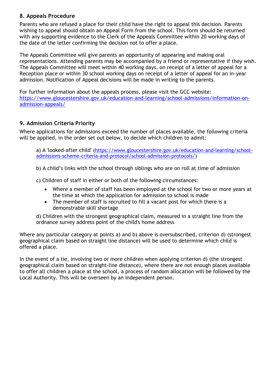#### **8. Appeals Procedure**

Parents who are refused a place for their child have the right to appeal this decision. Parents wishing to appeal should obtain an Appeal Form from the school. This form should be returned with any supporting evidence to the Clerk of the Appeals Committee within 20 working days of the date of the letter confirming the decision not to offer a place.

The Appeals Committee will give parents an opportunity of appearing and making oral representations. Attending parents may be accompanied by a friend or representative if they wish. The Appeals Committee will meet within 40 working days, on receipt of a letter of appeal for a Reception place or within 30 school working days on receipt of a letter of appeal for an in-year admission. Notification of Appeal decisions will be made in writing to the parents.

For further information about the appeals process, please visit the GCC website: [https://www.gloucestershire.gov.uk/education-and-learning/school-admissions/information-on](https://www.gloucestershire.gov.uk/education-and-learning/school-admissions/information-on-admission-appeals/)[admission-appeals/](https://www.gloucestershire.gov.uk/education-and-learning/school-admissions/information-on-admission-appeals/)

#### **9. Admission Criteria Priority**

Where applications for admissions exceed the number of places available, the following criteria will be applied, in the order set out below, to decide which children to admit:

a) A 'looked-after child' ([https://www.gloucestershire.gov.uk/education-and-learning/school](https://www.gloucestershire.gov.uk/education-and-learning/school-admissions-scheme-criteria-and-protocol/school-admission-protocols/)[admissions-scheme-criteria-and-protocol/school-admission-protocols/\)](https://www.gloucestershire.gov.uk/education-and-learning/school-admissions-scheme-criteria-and-protocol/school-admission-protocols/)

b) A child's links with the school through siblings who are on roll at time of admission

c) Children of staff in either or both of the following circumstances:

- Where a member of staff has been employed at the school for two or more years at the time at which the application for admission to school is made
- The member of staff is recruited to fill a vacant post for which there is a demonstrable skill shortage

d) Children with the strongest geographical claim, measured in a straight line from the ordnance survey address point of the child's home address

Where any particular category at points a) and b) above is oversubscribed, criterion d) (strongest geographical claim based on straight line distance) will be used to determine which child is offered a place.

In the event of a tie, involving two or more children when applying criterion d) (the strongest geographical claim based on straight-line distance), where there are not enough places available to offer all children a place at the school, a process of random allocation will be followed by the Local Authority. This will be overseen by an independent person.